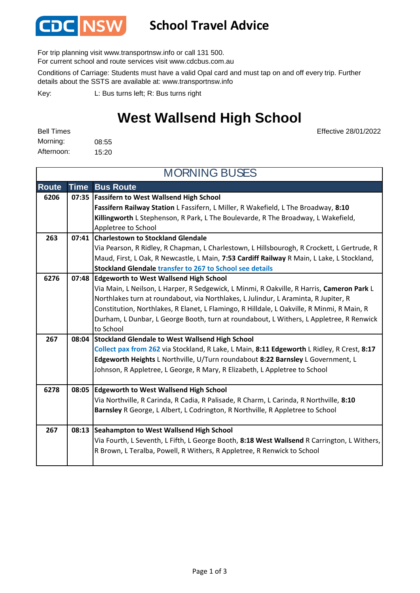

### **School Travel Advice**

For trip planning visit www.transportnsw.info or call 131 500.

For current school and route services visit www.cdcbus.com.au

Conditions of Carriage: Students must have a valid Opal card and must tap on and off every trip. Further details about the SSTS are available at: www.transportnsw.info

L: Bus turns left; R: Bus turns right Key:

### **West Wallsend High School**

Effective 28/01/2022

08:55 15:20 Morning: Bell Times Afternoon:

| <b>MORNING BUSES</b> |             |                                                                                             |  |  |
|----------------------|-------------|---------------------------------------------------------------------------------------------|--|--|
| <b>Route</b>         | <b>Time</b> | <b>Bus Route</b>                                                                            |  |  |
| 6206                 |             | 07:35   Fassifern to West Wallsend High School                                              |  |  |
|                      |             | Fassifern Railway Station L Fassifern, L Miller, R Wakefield, L The Broadway, 8:10          |  |  |
|                      |             | Killingworth L Stephenson, R Park, L The Boulevarde, R The Broadway, L Wakefield,           |  |  |
|                      |             | Appletree to School                                                                         |  |  |
| 263                  |             | 07:41 Charlestown to Stockland Glendale                                                     |  |  |
|                      |             | Via Pearson, R Ridley, R Chapman, L Charlestown, L Hillsbourogh, R Crockett, L Gertrude, R  |  |  |
|                      |             | Maud, First, L Oak, R Newcastle, L Main, 7:53 Cardiff Railway R Main, L Lake, L Stockland,  |  |  |
|                      |             | Stockland Glendale transfer to 267 to School see details                                    |  |  |
| 6276                 |             | 07:48 Edgeworth to West Wallsend High School                                                |  |  |
|                      |             | Via Main, L Neilson, L Harper, R Sedgewick, L Minmi, R Oakville, R Harris, Cameron Park L   |  |  |
|                      |             | Northlakes turn at roundabout, via Northlakes, L Julindur, L Araminta, R Jupiter, R         |  |  |
|                      |             | Constitution, Northlakes, R Elanet, L Flamingo, R Hilldale, L Oakville, R Minmi, R Main, R  |  |  |
|                      |             | Durham, L Dunbar, L George Booth, turn at roundabout, L Withers, L Appletree, R Renwick     |  |  |
|                      |             | to School                                                                                   |  |  |
| 267                  | 08:04       | Stockland Glendale to West Wallsend High School                                             |  |  |
|                      |             | Collect pax from 262 via Stockland, R Lake, L Main, 8:11 Edgeworth L Ridley, R Crest, 8:17  |  |  |
|                      |             | Edgeworth Heights L Northville, U/Turn roundabout 8:22 Barnsley L Government, L             |  |  |
|                      |             | Johnson, R Appletree, L George, R Mary, R Elizabeth, L Appletree to School                  |  |  |
|                      |             |                                                                                             |  |  |
| 6278                 |             | 08:05 Edgeworth to West Wallsend High School                                                |  |  |
|                      |             | Via Northville, R Carinda, R Cadia, R Palisade, R Charm, L Carinda, R Northville, 8:10      |  |  |
|                      |             | Barnsley R George, L Albert, L Codrington, R Northville, R Appletree to School              |  |  |
| 267                  |             | 08:13 Seahampton to West Wallsend High School                                               |  |  |
|                      |             | Via Fourth, L Seventh, L Fifth, L George Booth, 8:18 West Wallsend R Carrington, L Withers, |  |  |
|                      |             | R Brown, L Teralba, Powell, R Withers, R Appletree, R Renwick to School                     |  |  |
|                      |             |                                                                                             |  |  |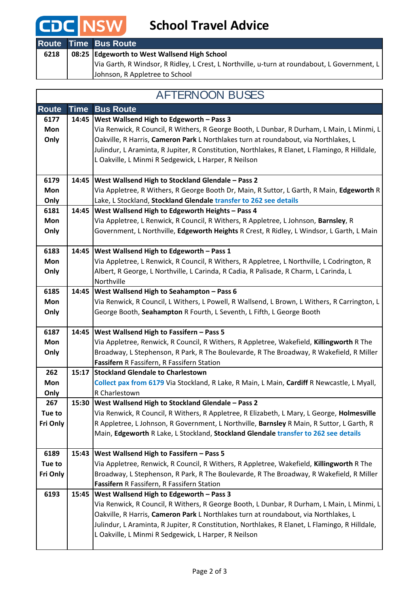# **CDC** NSW School Travel Advice

|      | Route Time Bus Route                                                                         |
|------|----------------------------------------------------------------------------------------------|
| 6218 | 08:25 Edgeworth to West Wallsend High School                                                 |
|      | Via Garth, R Windsor, R Ridley, L Crest, L Northville, u-turn at roundabout, L Government, L |
|      | Johnson, R Appletree to School                                                               |

#### AFTERNOON BUSES

| <b>Route</b> | <b>Time</b> | <b>Bus Route</b>                                                                               |
|--------------|-------------|------------------------------------------------------------------------------------------------|
| 6177         | 14:45       | West Wallsend High to Edgeworth - Pass 3                                                       |
| Mon          |             | Via Renwick, R Council, R Withers, R George Booth, L Dunbar, R Durham, L Main, L Minmi, L      |
| Only         |             | Oakville, R Harris, Cameron Park L Northlakes turn at roundabout, via Northlakes, L            |
|              |             | Julindur, L Araminta, R Jupiter, R Constitution, Northlakes, R Elanet, L Flamingo, R Hilldale, |
|              |             | L Oakville, L Minmi R Sedgewick, L Harper, R Neilson                                           |
|              |             |                                                                                                |
| 6179         | 14:45       | West Wallsend High to Stockland Glendale - Pass 2                                              |
| Mon          |             | Via Appletree, R Withers, R George Booth Dr, Main, R Suttor, L Garth, R Main, Edgeworth R      |
| Only         |             | Lake, L Stockland, Stockland Glendale transfer to 262 see details                              |
| 6181         | 14:45       | West Wallsend High to Edgeworth Heights - Pass 4                                               |
| Mon          |             | Via Appletree, L Renwick, R Council, R Withers, R Appletree, L Johnson, Barnsley, R            |
| Only         |             | Government, L Northville, Edgeworth Heights R Crest, R Ridley, L Windsor, L Garth, L Main      |
|              |             |                                                                                                |
| 6183         | 14:45       | West Wallsend High to Edgeworth - Pass 1                                                       |
| Mon          |             | Via Appletree, L Renwick, R Council, R Withers, R Appletree, L Northville, L Codrington, R     |
| Only         |             | Albert, R George, L Northville, L Carinda, R Cadia, R Palisade, R Charm, L Carinda, L          |
|              |             | Northville                                                                                     |
| 6185         | 14:45       | West Wallsend High to Seahampton - Pass 6                                                      |
| Mon          |             | Via Renwick, R Council, L Withers, L Powell, R Wallsend, L Brown, L Withers, R Carrington, L   |
| Only         |             | George Booth, Seahampton R Fourth, L Seventh, L Fifth, L George Booth                          |
|              |             |                                                                                                |
| 6187         | 14:45       | West Wallsend High to Fassifern - Pass 5                                                       |
| Mon          |             | Via Appletree, Renwick, R Council, R Withers, R Appletree, Wakefield, Killingworth R The       |
| Only         |             | Broadway, L Stephenson, R Park, R The Boulevarde, R The Broadway, R Wakefield, R Miller        |
|              |             | Fassifern R Fassifern, R Fassifern Station                                                     |
| 262          | 15:17       | <b>Stockland Glendale to Charlestown</b>                                                       |
| Mon          |             | Collect pax from 6179 Via Stockland, R Lake, R Main, L Main, Cardiff R Newcastle, L Myall,     |
| Only         |             | R Charlestown                                                                                  |
| 267          | 15:30       | West Wallsend High to Stockland Glendale - Pass 2                                              |
| Tue to       |             | Via Renwick, R Council, R Withers, R Appletree, R Elizabeth, L Mary, L George, Holmesville     |
| Fri Only     |             | R Appletree, L Johnson, R Government, L Northville, Barnsley R Main, R Suttor, L Garth, R      |
|              |             | Main, Edgeworth R Lake, L Stockland, Stockland Glendale transfer to 262 see details            |
|              |             |                                                                                                |
| 6189         | 15:43       | West Wallsend High to Fassifern - Pass 5                                                       |
| Tue to       |             | Via Appletree, Renwick, R Council, R Withers, R Appletree, Wakefield, Killingworth R The       |
| Fri Only     |             | Broadway, L Stephenson, R Park, R The Boulevarde, R The Broadway, R Wakefield, R Miller        |
|              |             | Fassifern R Fassifern, R Fassifern Station                                                     |
| 6193         | 15:45       | West Wallsend High to Edgeworth - Pass 3                                                       |
|              |             | Via Renwick, R Council, R Withers, R George Booth, L Dunbar, R Durham, L Main, L Minmi, L      |
|              |             | Oakville, R Harris, Cameron Park L Northlakes turn at roundabout, via Northlakes, L            |
|              |             | Julindur, L Araminta, R Jupiter, R Constitution, Northlakes, R Elanet, L Flamingo, R Hilldale, |
|              |             | L Oakville, L Minmi R Sedgewick, L Harper, R Neilson                                           |
|              |             |                                                                                                |